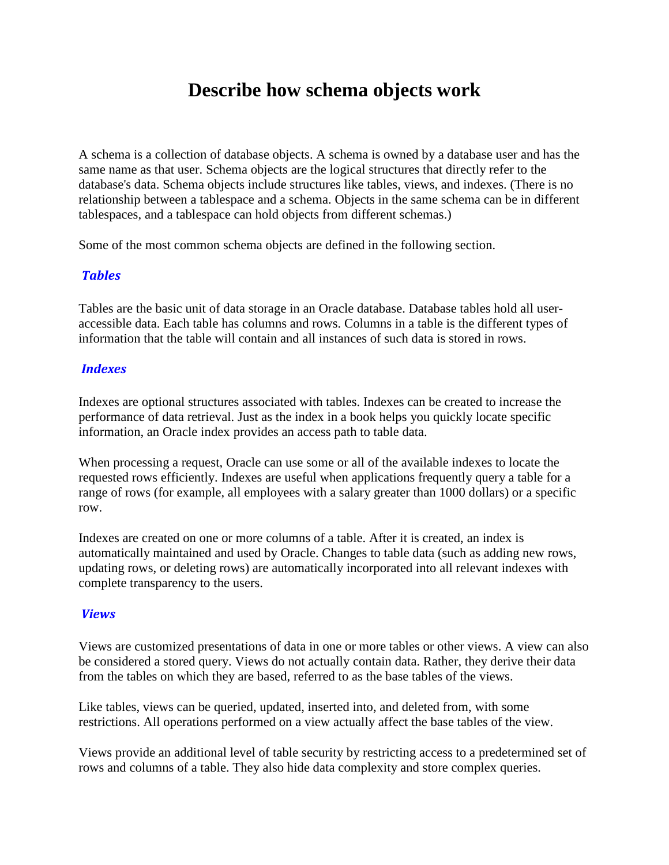# **Describe how schema objects work**

A schema is a collection of database objects. A schema is owned by a database user and has the same name as that user. Schema objects are the logical structures that directly refer to the database's data. Schema objects include structures like tables, views, and indexes. (There is no relationship between a tablespace and a schema. Objects in the same schema can be in different tablespaces, and a tablespace can hold objects from different schemas.)

Some of the most common schema objects are defined in the following section.

## **Tables**

Tables are the basic unit of data storage in an Oracle database. Database tables hold all useraccessible data. Each table has columns and rows. Columns in a table is the different types of information that the table will contain and all instances of such data is stored in rows.

## **Indexes**

Indexes are optional structures associated with tables. Indexes can be created to increase the performance of data retrieval. Just as the index in a book helps you quickly locate specific information, an Oracle index provides an access path to table data.

When processing a request, Oracle can use some or all of the available indexes to locate the requested rows efficiently. Indexes are useful when applications frequently query a table for a range of rows (for example, all employees with a salary greater than 1000 dollars) or a specific row.

Indexes are created on one or more columns of a table. After it is created, an index is automatically maintained and used by Oracle. Changes to table data (such as adding new rows, updating rows, or deleting rows) are automatically incorporated into all relevant indexes with complete transparency to the users.

## Views

Views are customized presentations of data in one or more tables or other views. A view can also be considered a stored query. Views do not actually contain data. Rather, they derive their data from the tables on which they are based, referred to as the base tables of the views.

Like tables, views can be queried, updated, inserted into, and deleted from, with some restrictions. All operations performed on a view actually affect the base tables of the view.

Views provide an additional level of table security by restricting access to a predetermined set of rows and columns of a table. They also hide data complexity and store complex queries.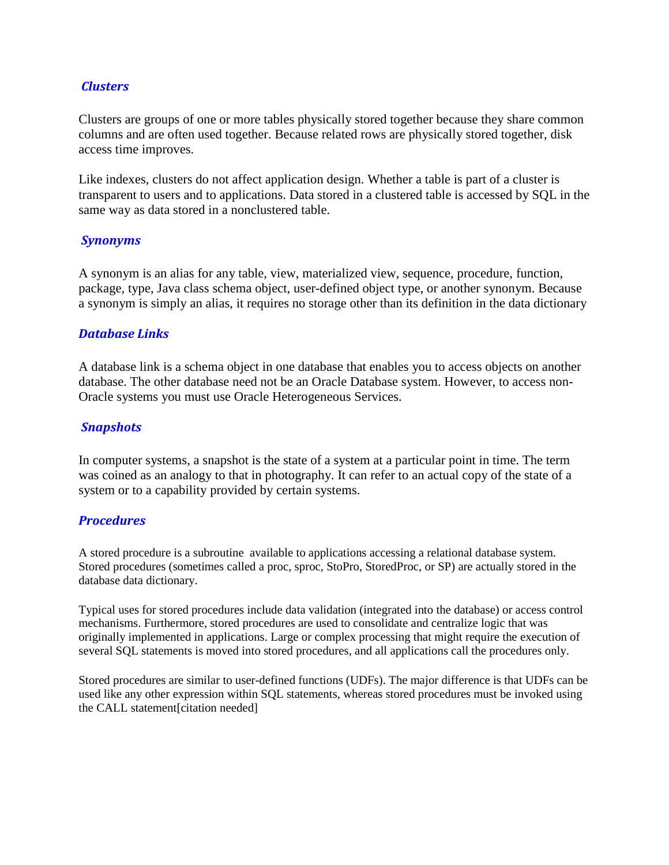## **Clusters**

Clusters are groups of one or more tables physically stored together because they share common columns and are often used together. Because related rows are physically stored together, disk access time improves.

Like indexes, clusters do not affect application design. Whether a table is part of a cluster is transparent to users and to applications. Data stored in a clustered table is accessed by SQL in the same way as data stored in a nonclustered table.

#### Synonyms

A synonym is an alias for any table, view, materialized view, sequence, procedure, function, package, type, Java class schema object, user-defined object type, or another synonym. Because a synonym is simply an alias, it requires no storage other than its definition in the data dictionary

## Database Links

A database link is a schema object in one database that enables you to access objects on another database. The other database need not be an Oracle Database system. However, to access non-Oracle systems you must use Oracle Heterogeneous Services.

## **Snapshots**

In computer systems, a snapshot is the state of a system at a particular point in time. The term was coined as an analogy to that in photography. It can refer to an actual copy of the state of a system or to a capability provided by certain systems.

#### **Procedures**

A stored procedure is a subroutine available to applications accessing a relational database system. Stored procedures (sometimes called a proc, sproc, StoPro, StoredProc, or SP) are actually stored in the database data dictionary.

Typical uses for stored procedures include data validation (integrated into the database) or access control mechanisms. Furthermore, stored procedures are used to consolidate and centralize logic that was originally implemented in applications. Large or complex processing that might require the execution of several SQL statements is moved into stored procedures, and all applications call the procedures only.

Stored procedures are similar to user-defined functions (UDFs). The major difference is that UDFs can be used like any other expression within SQL statements, whereas stored procedures must be invoked using the CALL statement[citation needed]